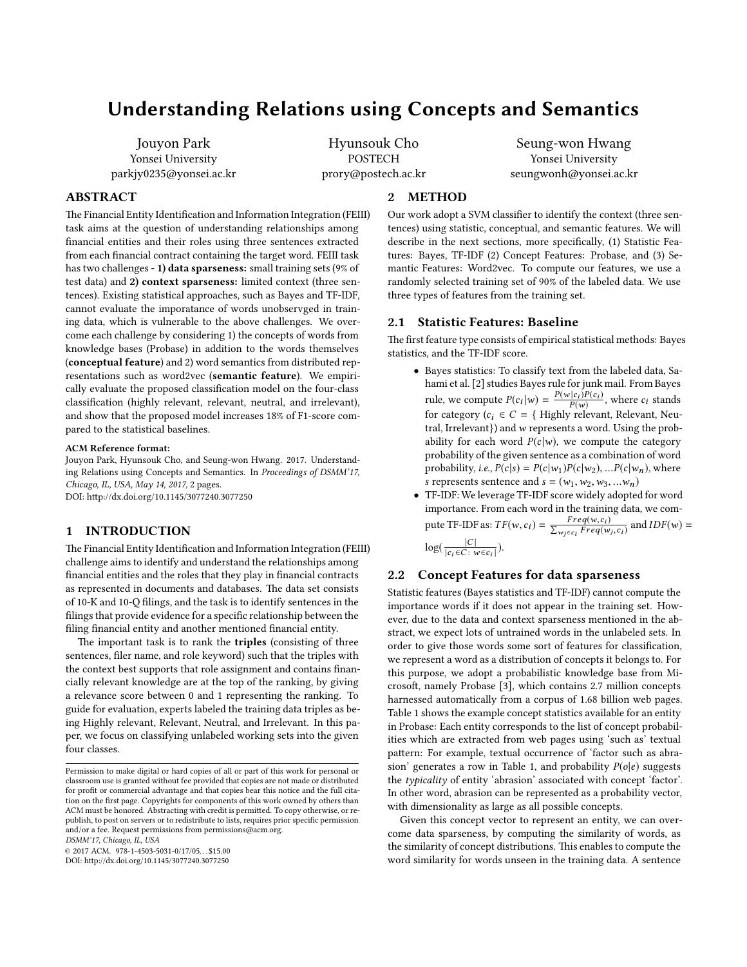# Understanding Relations using Concepts and Semantics

Jouyon Park Yonsei University parkjy0235@yonsei.ac.kr

Hyunsouk Cho POSTECH prory@postech.ac.kr

## ABSTRACT

The Financial Entity Identification and Information Integration (FEIII) task aims at the question of understanding relationships among nancial entities and their roles using three sentences extracted from each financial contract containing the target word. FEIII task has two challenges - 1) data sparseness: small training sets (9% of test data) and 2) context sparseness: limited context (three sentences). Existing statistical approaches, such as Bayes and TF-IDF, cannot evaluate the imporatance of words unobservged in training data, which is vulnerable to the above challenges. We overcome each challenge by considering 1) the concepts of words from knowledge bases (Probase) in addition to the words themselves (conceptual feature) and 2) word semantics from distributed representations such as word2vec (semantic feature). We empirically evaluate the proposed classification model on the four-class classification (highly relevant, relevant, neutral, and irrelevant), and show that the proposed model increases 18% of F1-score compared to the statistical baselines.

#### ACM Reference format:

Jouyon Park, Hyunsouk Cho, and Seung-won Hwang. 2017. Understanding Relations using Concepts and Semantics. In *Proceedings of DSMM'17, Chicago, IL, USA, May 14, 2017,* [2](#page-1-0) pages. DOI: http://dx.doi.org/10.1145/3077240.3077250

## 1 INTRODUCTION

The Financial Entity Identification and Information Integration (FEIII) challenge aims to identify and understand the relationships among financial entities and the roles that they play in financial contracts as represented in documents and databases. The data set consists of 10-K and 10-Q filings, and the task is to identify sentences in the filings that provide evidence for a specific relationship between the filing financial entity and another mentioned financial entity.

The important task is to rank the triples (consisting of three sentences, filer name, and role keyword) such that the triples with the context best supports that role assignment and contains financially relevant knowledge are at the top of the ranking, by giving a relevance score between 0 and 1 representing the ranking. To guide for evaluation, experts labeled the training data triples as being Highly relevant, Relevant, Neutral, and Irrelevant. In this paper, we focus on classifying unlabeled working sets into the given four classes.

*DSMM'17, Chicago, IL, USA*

 $@ 2017$  ACM. 978-1-4503-5031-0/17/05...\$15.00

DOI: http://dx.doi.org/10.1145/3077240.3077250

## 2 METHOD

Our work adopt a SVM classifier to identify the context (three sentences) using statistic, conceptual, and semantic features. We will describe in the next sections, more specifically, (1) Statistic Features: Bayes, TF-IDF (2) Concept Features: Probase, and (3) Semantic Features: Word2vec. To compute our features, we use a randomly selected training set of 90% of the labeled data. We use three types of features from the training set.

#### **Statistic Features: Baseline**

The first feature type consists of empirical statistical methods: Bayes statistics, and the TF-IDF score.

- Bayes statistics: To classify text from the labeled data, Sahami et al. [\[2](#page-1-1)] studies Bayes rule for junk mail. From Bayes rule, we compute  $P(c_i|w) = \frac{P(w|c_i)P(c_i)}{P(w)}$ , where  $c_i$  stands for category ( $c_i \in C = \{$  Highly relevant, Relevant, Neutral, Irrelevant}) and w represents a word. Using the probability for each word  $P(c|w)$ , we compute the category probability of the given sentence as a combination of word probability, *i.e.*,  $P(c|s) = P(c|w_1)P(c|w_2)$ , ...  $P(c|w_n)$ , where s represents sentence and  $s = (w_1, w_2, w_3, ... w_n)$
- TF-IDF: We leverage TF-IDF score widely adopted for word importance. From each word in the training data, we compute TF-IDF as:  $TF(w, c_i) = \frac{Freq(w, c_i)}{\sum_{w_j \in c_i}Freq(w_j, c_i)}$  and  $IDF(w) =$  $log(\frac{|C|}{|C \cdot \epsilon C \cdot \epsilon}$  $\frac{c_1}{|c_i \in C : w \in c_i|}$ ).

## 2.2 Concept Features for data sparseness

Statistic features (Bayes statistics and TF-IDF) cannot compute the importance words if it does not appear in the training set. However, due to the data and context sparseness mentioned in the abstract, we expect lots of untrained words in the unlabeled sets. In order to give those words some sort of features for classification, we represent a word as a distribution of concepts it belongs to. For this purpose, we adopt a probabilistic knowledge base from Mi-crosoft, namely Probase [\[3\]](#page-1-2), which contains 2.7 million concepts harnessed automatically from a corpus of 1.68 billion web pages. Table [1](#page-1-3) shows the example concept statistics available for an entity in Probase: Each entity corresponds to the list of concept probabilities which are extracted from web pages using 'such as' textual pattern: For example, textual occurrence of 'factor such as abra-sion' generates a row in Table [1,](#page-1-3) and probability  $P(o|e)$  suggests the *typicality* of entity 'abrasion' associated with concept 'factor'. In other word, abrasion can be represented as a probability vector, with dimensionality as large as all possible concepts.

Given this concept vector to represent an entity, we can overcome data sparseness, by computing the similarity of words, as the similarity of concept distributions. This enables to compute the word similarity for words unseen in the training data. A sentence

Seung-won Hwang Yonsei University seungwonh@yonsei.ac.kr

Permission to make digital or hard copies of all or part of this work for personal or classroom use is granted without fee provided that copies are not made or distributed for profit or commercial advantage and that copies bear this notice and the full citation on the first page. Copyrights for components of this work owned by others than  $\,$ ACM must be honored. Abstracting with credit is permitted. To copy otherwise, or republish, to post on servers or to redistribute to lists, requires prior specific permission and/or a fee. Request permissions from permissions@acm.org.